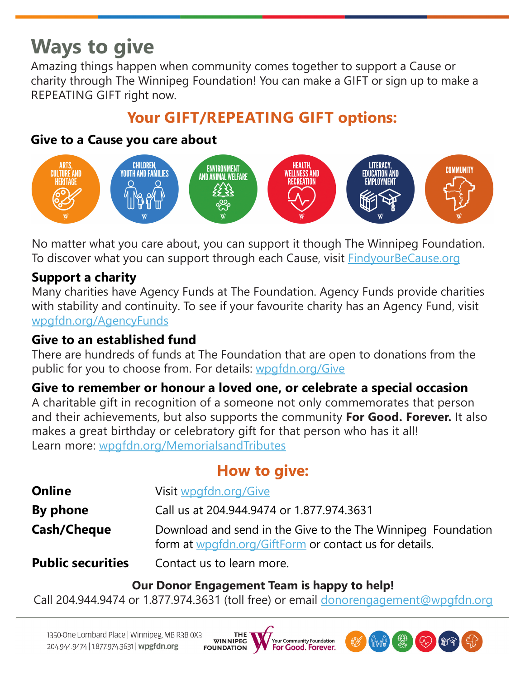# **Ways to give**

Amazing things happen when community comes together to support a Cause or charity through The Winnipeg Foundation! You can make a GIFT or sign up to make a REPEATING GIFT right now.

## **Your GIFT/REPEATING GIFT options:**

#### **Give to a Cause you care about**



No matter what you care about, you can support it though The Winnipeg Foundation. To discover what you can support through each Cause, visit **FindyourBeCause.org** 

#### **Support a charity**

Many charities have Agency Funds at The Foundation. Agency Funds provide charities with stability and continuity. To see if your favourite charity has an Agency Fund, visit [wpgfdn.org/AgencyFunds](http://www.wpgfdn.org/AgencyFunds)

#### **Give to an established fund**

There are hundreds of funds at The Foundation that are open to donations from the public for you to choose from. For details: [wpgfdn.org/Give](http://www.wpgfdn.org/Give)

#### **Give to remember or honour a loved one, or celebrate a special occasion**

A charitable gift in recognition of a someone not only commemorates that person and their achievements, but also supports the community **For Good. Forever.** It also makes a great birthday or celebratory gift for that person who has it all! Learn more: [wpgfdn.org/MemorialsandTributes](http://www.wpgfdn.org/MemorialsandTributes)

### **How to give:**

| <b>Online</b>            | Visit wpgfdn.org/Give                                                                                                  |  |  |  |
|--------------------------|------------------------------------------------------------------------------------------------------------------------|--|--|--|
| By phone                 | Call us at 204.944.9474 or 1.877.974.3631                                                                              |  |  |  |
| Cash/Cheque              | Download and send in the Give to the The Winnipeg Foundation<br>form at wpgfdn.org/GiftForm or contact us for details. |  |  |  |
| <b>Public securities</b> | Contact us to learn more.                                                                                              |  |  |  |

#### **Our Donor Engagement Team is happy to help!**

Call 204.944.9474 or 1.877.974.3631 (toll free) or email [donorengagement@wpgfdn.org](mailto:donorengagement@wpgfdn.org)